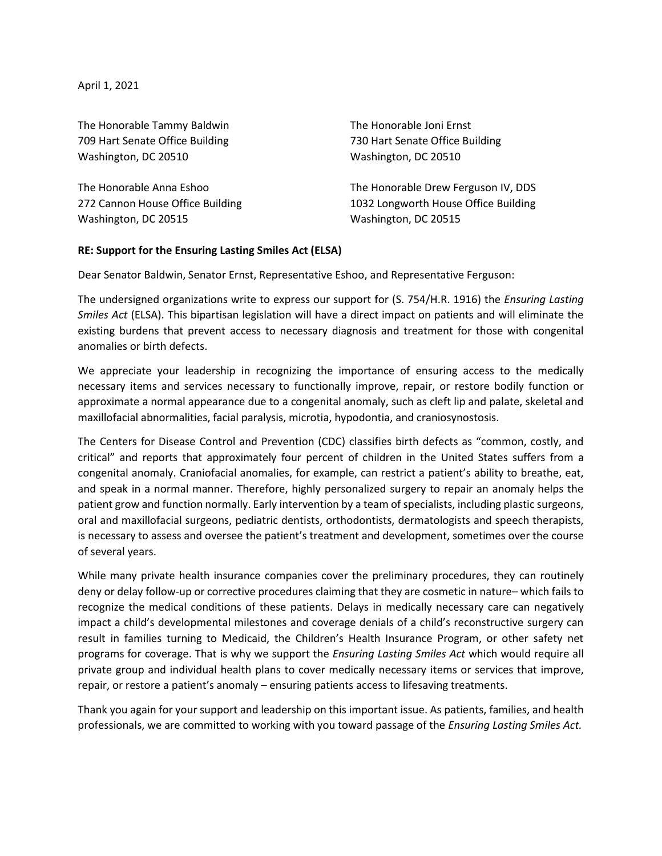April 1, 2021

The Honorable Tammy Baldwin 709 Hart Senate Office Building Washington, DC 20510

The Honorable Anna Eshoo 272 Cannon House Office Building Washington, DC 20515

The Honorable Joni Ernst 730 Hart Senate Office Building Washington, DC 20510

The Honorable Drew Ferguson IV, DDS 1032 Longworth House Office Building Washington, DC 20515

## **RE: Support for the Ensuring Lasting Smiles Act (ELSA)**

Dear Senator Baldwin, Senator Ernst, Representative Eshoo, and Representative Ferguson:

The undersigned organizations write to express our support for (S. 754/H.R. 1916) the *Ensuring Lasting Smiles Act* (ELSA). This bipartisan legislation will have a direct impact on patients and will eliminate the existing burdens that prevent access to necessary diagnosis and treatment for those with congenital anomalies or birth defects.

We appreciate your leadership in recognizing the importance of ensuring access to the medically necessary items and services necessary to functionally improve, repair, or restore bodily function or approximate a normal appearance due to a congenital anomaly, such as cleft lip and palate, skeletal and maxillofacial abnormalities, facial paralysis, microtia, hypodontia, and craniosynostosis.

The Centers for Disease Control and Prevention (CDC) classifies birth defects as "common, costly, and critical" and reports that approximately four percent of children in the United States suffers from a congenital anomaly. Craniofacial anomalies, for example, can restrict a patient's ability to breathe, eat, and speak in a normal manner. Therefore, highly personalized surgery to repair an anomaly helps the patient grow and function normally. Early intervention by a team of specialists, including plastic surgeons, oral and maxillofacial surgeons, pediatric dentists, orthodontists, dermatologists and speech therapists, is necessary to assess and oversee the patient's treatment and development, sometimes over the course of several years.

While many private health insurance companies cover the preliminary procedures, they can routinely deny or delay follow-up or corrective procedures claiming that they are cosmetic in nature– which fails to recognize the medical conditions of these patients. Delays in medically necessary care can negatively impact a child's developmental milestones and coverage denials of a child's reconstructive surgery can result in families turning to Medicaid, the Children's Health Insurance Program, or other safety net programs for coverage. That is why we support the *Ensuring Lasting Smiles Act* which would require all private group and individual health plans to cover medically necessary items or services that improve, repair, or restore a patient's anomaly – ensuring patients access to lifesaving treatments.

Thank you again for your support and leadership on this important issue. As patients, families, and health professionals, we are committed to working with you toward passage of the *Ensuring Lasting Smiles Act.*